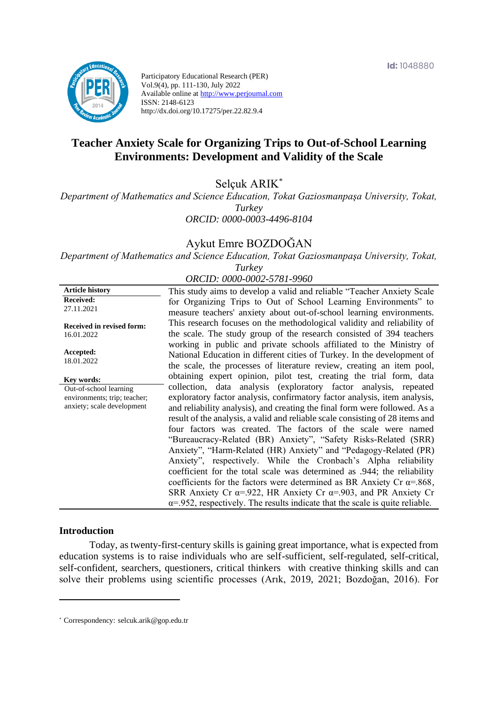

Participatory Educational Research (PER) Vol.9(4), pp. 111-130, July 2022 Available online at http://www.perjournal.com ISSN: 2148-6123 http://dx.doi.org/10.17275/per.22.82.9.4

# **Teacher Anxiety Scale for Organizing Trips to Out-of-School Learning Environments: Development and Validity of the Scale**

Selçuk ARIK\*

*Department of Mathematics and Science Education, Tokat Gaziosmanpaşa University, Tokat, Turkey ORCID: 0000-0003-4496-8104*

# Aykut Emre BOZDOĞAN

*Department of Mathematics and Science Education, Tokat Gaziosmanpaşa University, Tokat, Turkey*

| ORCID: 0000-0002-5781-9960 |  |  |  |  |  |  |  |
|----------------------------|--|--|--|--|--|--|--|
|                            |  |  |  |  |  |  |  |

| <b>Article history</b>                                                               | This study aims to develop a valid and reliable "Teacher Anxiety Scale"                                                                                                                                                                                                                                                                                                                                                                                                                                                                                                                                                                                                                                                                                                                                                                                                                                                      |
|--------------------------------------------------------------------------------------|------------------------------------------------------------------------------------------------------------------------------------------------------------------------------------------------------------------------------------------------------------------------------------------------------------------------------------------------------------------------------------------------------------------------------------------------------------------------------------------------------------------------------------------------------------------------------------------------------------------------------------------------------------------------------------------------------------------------------------------------------------------------------------------------------------------------------------------------------------------------------------------------------------------------------|
| <b>Received:</b><br>27.11.2021                                                       | for Organizing Trips to Out of School Learning Environments" to<br>measure teachers' anxiety about out-of-school learning environments.                                                                                                                                                                                                                                                                                                                                                                                                                                                                                                                                                                                                                                                                                                                                                                                      |
| <b>Received in revised form:</b><br>16.01.2022                                       | This research focuses on the methodological validity and reliability of<br>the scale. The study group of the research consisted of 394 teachers                                                                                                                                                                                                                                                                                                                                                                                                                                                                                                                                                                                                                                                                                                                                                                              |
| Accepted:<br>18.01.2022                                                              | working in public and private schools affiliated to the Ministry of<br>National Education in different cities of Turkey. In the development of<br>the scale, the processes of literature review, creating an item pool,                                                                                                                                                                                                                                                                                                                                                                                                                                                                                                                                                                                                                                                                                                      |
| Key words:                                                                           | obtaining expert opinion, pilot test, creating the trial form, data                                                                                                                                                                                                                                                                                                                                                                                                                                                                                                                                                                                                                                                                                                                                                                                                                                                          |
| Out-of-school learning<br>environments; trip; teacher;<br>anxiety; scale development | collection, data analysis (exploratory factor analysis, repeated<br>exploratory factor analysis, confirmatory factor analysis, item analysis,<br>and reliability analysis), and creating the final form were followed. As a<br>result of the analysis, a valid and reliable scale consisting of 28 items and<br>four factors was created. The factors of the scale were named<br>"Bureaucracy-Related (BR) Anxiety", "Safety Risks-Related (SRR)<br>Anxiety", "Harm-Related (HR) Anxiety" and "Pedagogy-Related (PR)<br>Anxiety", respectively. While the Cronbach's Alpha reliability<br>coefficient for the total scale was determined as .944; the reliability<br>coefficients for the factors were determined as BR Anxiety Cr $\alpha$ =.868,<br>SRR Anxiety Cr $\alpha$ =.922, HR Anxiety Cr $\alpha$ =.903, and PR Anxiety Cr<br>$\alpha$ =.952, respectively. The results indicate that the scale is quite reliable. |

#### **Introduction**

Today, as twenty-first-century skills is gaining great importance, what is expected from education systems is to raise individuals who are self-sufficient, self-regulated, self-critical, self-confident, searchers, questioners, critical thinkers with creative thinking skills and can solve their problems using scientific processes (Arık, 2019, 2021; Bozdoğan, 2016). For

<sup>\*</sup> [Correspondency:](mailto:Correspondency:) selcuk.arik@gop.edu.tr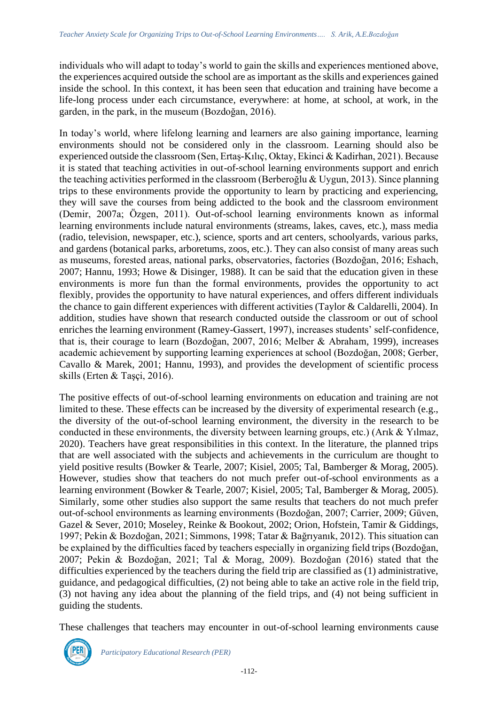individuals who will adapt to today's world to gain the skills and experiences mentioned above, the experiences acquired outside the school are as important as the skills and experiences gained inside the school. In this context, it has been seen that education and training have become a life-long process under each circumstance, everywhere: at home, at school, at work, in the garden, in the park, in the museum (Bozdoğan, 2016).

In today's world, where lifelong learning and learners are also gaining importance, learning environments should not be considered only in the classroom. Learning should also be experienced outside the classroom (Sen, Ertaş-Kılıç, Oktay, Ekinci & Kadirhan, 2021). Because it is stated that teaching activities in out-of-school learning environments support and enrich the teaching activities performed in the classroom (Berberoğlu & Uygun, 2013). Since planning trips to these environments provide the opportunity to learn by practicing and experiencing, they will save the courses from being addicted to the book and the classroom environment (Demir, 2007a; Özgen, 2011). Out-of-school learning environments known as informal learning environments include natural environments (streams, lakes, caves, etc.), mass media (radio, television, newspaper, etc.), science, sports and art centers, schoolyards, various parks, and gardens (botanical parks, arboretums, zoos, etc.). They can also consist of many areas such as museums, forested areas, national parks, observatories, factories (Bozdoğan, 2016; Eshach, 2007; Hannu, 1993; Howe & Disinger, 1988). It can be said that the education given in these environments is more fun than the formal environments, provides the opportunity to act flexibly, provides the opportunity to have natural experiences, and offers different individuals the chance to gain different experiences with different activities (Taylor & Caldarelli, 2004). In addition, studies have shown that research conducted outside the classroom or out of school enriches the learning environment (Ramey-Gassert, 1997), increases students' self-confidence, that is, their courage to learn (Bozdoğan, 2007, 2016; Melber & Abraham, 1999), increases academic achievement by supporting learning experiences at school (Bozdoğan, 2008; Gerber, Cavallo & Marek, 2001; Hannu, 1993), and provides the development of scientific process skills (Erten & Taşçi, 2016).

The positive effects of out-of-school learning environments on education and training are not limited to these. These effects can be increased by the diversity of experimental research (e.g., the diversity of the out-of-school learning environment, the diversity in the research to be conducted in these environments, the diversity between learning groups, etc.) (Arık & Yılmaz, 2020). Teachers have great responsibilities in this context. In the literature, the planned trips that are well associated with the subjects and achievements in the curriculum are thought to yield positive results (Bowker & Tearle, 2007; Kisiel, 2005; Tal, Bamberger & Morag, 2005). However, studies show that teachers do not much prefer out-of-school environments as a learning environment (Bowker & Tearle, 2007; Kisiel, 2005; Tal, Bamberger & Morag, 2005). Similarly, some other studies also support the same results that teachers do not much prefer out-of-school environments as learning environments (Bozdoğan, 2007; Carrier, 2009; Güven, Gazel & Sever, 2010; Moseley, Reinke & Bookout, 2002; Orion, Hofstein, Tamir & Giddings, 1997; Pekin & Bozdoğan, 2021; Simmons, 1998; Tatar & Bağrıyanık, 2012). This situation can be explained by the difficulties faced by teachers especially in organizing field trips (Bozdoğan, 2007; Pekin & Bozdoğan, 2021; Tal & Morag, 2009). Bozdoğan (2016) stated that the difficulties experienced by the teachers during the field trip are classified as (1) administrative, guidance, and pedagogical difficulties, (2) not being able to take an active role in the field trip, (3) not having any idea about the planning of the field trips, and (4) not being sufficient in guiding the students.

These challenges that teachers may encounter in out-of-school learning environments cause

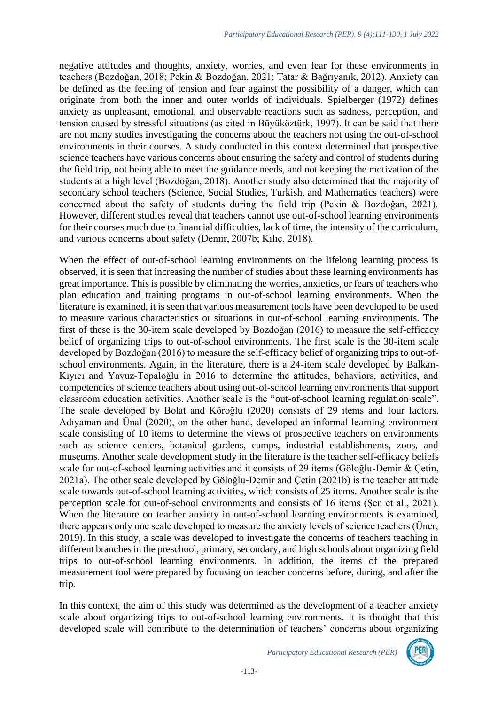negative attitudes and thoughts, anxiety, worries, and even fear for these environments in teachers (Bozdoğan, 2018; Pekin & Bozdoğan, 2021; Tatar & Bağrıyanık, 2012). Anxiety can be defined as the feeling of tension and fear against the possibility of a danger, which can originate from both the inner and outer worlds of individuals. Spielberger (1972) defines anxiety as unpleasant, emotional, and observable reactions such as sadness, perception, and tension caused by stressful situations (as cited in Büyüköztürk, 1997). It can be said that there are not many studies investigating the concerns about the teachers not using the out-of-school environments in their courses. A study conducted in this context determined that prospective science teachers have various concerns about ensuring the safety and control of students during the field trip, not being able to meet the guidance needs, and not keeping the motivation of the students at a high level (Bozdoğan, 2018). Another study also determined that the majority of secondary school teachers (Science, Social Studies, Turkish, and Mathematics teachers) were concerned about the safety of students during the field trip (Pekin & Bozdoğan, 2021). However, different studies reveal that teachers cannot use out-of-school learning environments for their courses much due to financial difficulties, lack of time, the intensity of the curriculum, and various concerns about safety (Demir, 2007b; Kılıç, 2018).

When the effect of out-of-school learning environments on the lifelong learning process is observed, it is seen that increasing the number of studies about these learning environments has great importance. This is possible by eliminating the worries, anxieties, or fears of teachers who plan education and training programs in out-of-school learning environments. When the literature is examined, it is seen that various measurement tools have been developed to be used to measure various characteristics or situations in out-of-school learning environments. The first of these is the 30-item scale developed by Bozdoğan (2016) to measure the self-efficacy belief of organizing trips to out-of-school environments. The first scale is the 30-item scale developed by Bozdoğan (2016) to measure the self-efficacy belief of organizing trips to out-ofschool environments. Again, in the literature, there is a 24-item scale developed by Balkan-Kıyıcı and Yavuz-Topaloğlu in 2016 to determine the attitudes, behaviors, activities, and competencies of science teachers about using out-of-school learning environments that support classroom education activities. Another scale is the "out-of-school learning regulation scale". The scale developed by Bolat and Köroğlu (2020) consists of 29 items and four factors. Adıyaman and Ünal (2020), on the other hand, developed an informal learning environment scale consisting of 10 items to determine the views of prospective teachers on environments such as science centers, botanical gardens, camps, industrial establishments, zoos, and museums. Another scale development study in the literature is the teacher self-efficacy beliefs scale for out-of-school learning activities and it consists of 29 items (Göloğlu-Demir & Çetin, 2021a). The other scale developed by Göloğlu-Demir and Çetin (2021b) is the teacher attitude scale towards out-of-school learning activities, which consists of 25 items. Another scale is the perception scale for out-of-school environments and consists of 16 items (Şen et al., 2021). When the literature on teacher anxiety in out-of-school learning environments is examined, there appears only one scale developed to measure the anxiety levels of science teachers (Üner, 2019). In this study, a scale was developed to investigate the concerns of teachers teaching in different branches in the preschool, primary, secondary, and high schools about organizing field trips to out-of-school learning environments. In addition, the items of the prepared measurement tool were prepared by focusing on teacher concerns before, during, and after the trip.

In this context, the aim of this study was determined as the development of a teacher anxiety scale about organizing trips to out-of-school learning environments. It is thought that this developed scale will contribute to the determination of teachers' concerns about organizing

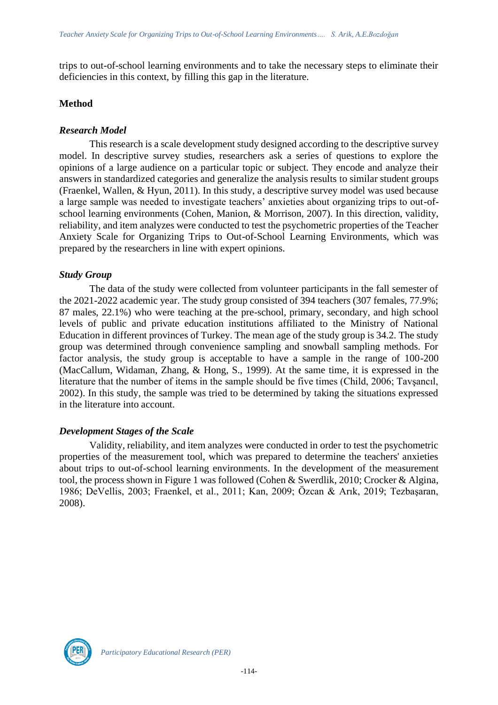trips to out-of-school learning environments and to take the necessary steps to eliminate their deficiencies in this context, by filling this gap in the literature.

### **Method**

### *Research Model*

This research is a scale development study designed according to the descriptive survey model. In descriptive survey studies, researchers ask a series of questions to explore the opinions of a large audience on a particular topic or subject. They encode and analyze their answers in standardized categories and generalize the analysis results to similar student groups (Fraenkel, Wallen, & Hyun, 2011). In this study, a descriptive survey model was used because a large sample was needed to investigate teachers' anxieties about organizing trips to out-ofschool learning environments (Cohen, Manion, & Morrison, 2007). In this direction, validity, reliability, and item analyzes were conducted to test the psychometric properties of the Teacher Anxiety Scale for Organizing Trips to Out-of-School Learning Environments, which was prepared by the researchers in line with expert opinions.

### *Study Group*

The data of the study were collected from volunteer participants in the fall semester of the 2021-2022 academic year. The study group consisted of 394 teachers (307 females, 77.9%; 87 males, 22.1%) who were teaching at the pre-school, primary, secondary, and high school levels of public and private education institutions affiliated to the Ministry of National Education in different provinces of Turkey. The mean age of the study group is 34.2. The study group was determined through convenience sampling and snowball sampling methods. For factor analysis, the study group is acceptable to have a sample in the range of 100-200 (MacCallum, Widaman, Zhang, & Hong, S., 1999). At the same time, it is expressed in the literature that the number of items in the sample should be five times (Child, 2006; Tavşancıl, 2002). In this study, the sample was tried to be determined by taking the situations expressed in the literature into account.

#### *Development Stages of the Scale*

Validity, reliability, and item analyzes were conducted in order to test the psychometric properties of the measurement tool, which was prepared to determine the teachers' anxieties about trips to out-of-school learning environments. In the development of the measurement tool, the process shown in Figure 1 was followed (Cohen & Swerdlik, 2010; Crocker & Algina, 1986; DeVellis, 2003; Fraenkel, et al., 2011; Kan, 2009; Özcan & Arık, 2019; Tezbaşaran, 2008).

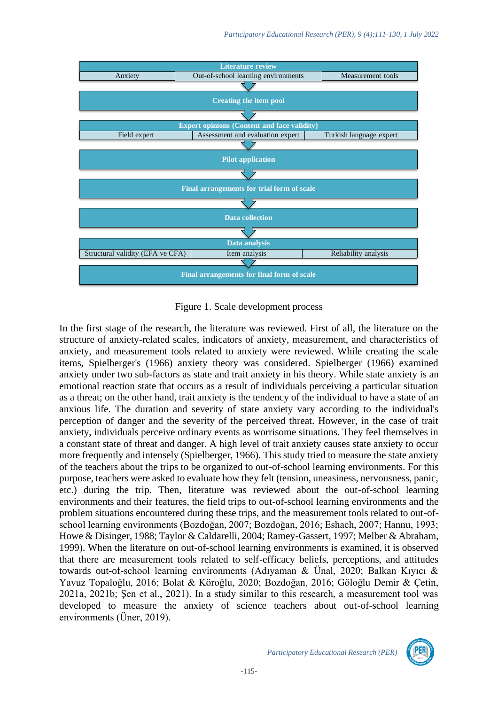

Figure 1. Scale development process

In the first stage of the research, the literature was reviewed. First of all, the literature on the structure of anxiety-related scales, indicators of anxiety, measurement, and characteristics of anxiety, and measurement tools related to anxiety were reviewed. While creating the scale items, Spielberger's (1966) anxiety theory was considered. Spielberger (1966) examined anxiety under two sub-factors as state and trait anxiety in his theory. While state anxiety is an emotional reaction state that occurs as a result of individuals perceiving a particular situation as a threat; on the other hand, trait anxiety is the tendency of the individual to have a state of an anxious life. The duration and severity of state anxiety vary according to the individual's perception of danger and the severity of the perceived threat. However, in the case of trait anxiety, individuals perceive ordinary events as worrisome situations. They feel themselves in a constant state of threat and danger. A high level of trait anxiety causes state anxiety to occur more frequently and intensely (Spielberger, 1966). This study tried to measure the state anxiety of the teachers about the trips to be organized to out-of-school learning environments. For this purpose, teachers were asked to evaluate how they felt (tension, uneasiness, nervousness, panic, etc.) during the trip. Then, literature was reviewed about the out-of-school learning environments and their features, the field trips to out-of-school learning environments and the problem situations encountered during these trips, and the measurement tools related to out-ofschool learning environments (Bozdoğan, 2007; Bozdoğan, 2016; Eshach, 2007; Hannu, 1993; Howe & Disinger, 1988; Taylor & Caldarelli, 2004; Ramey-Gassert, 1997; Melber & Abraham, 1999). When the literature on out-of-school learning environments is examined, it is observed that there are measurement tools related to self-efficacy beliefs, perceptions, and attitudes towards out-of-school learning environments (Adıyaman & Ünal, 2020; Balkan Kıyıcı & Yavuz Topaloğlu, 2016; Bolat & Köroğlu, 2020; Bozdoğan, 2016; Göloğlu Demir & Çetin, 2021a, 2021b; Şen et al., 2021). In a study similar to this research, a measurement tool was developed to measure the anxiety of science teachers about out-of-school learning environments (Üner, 2019).

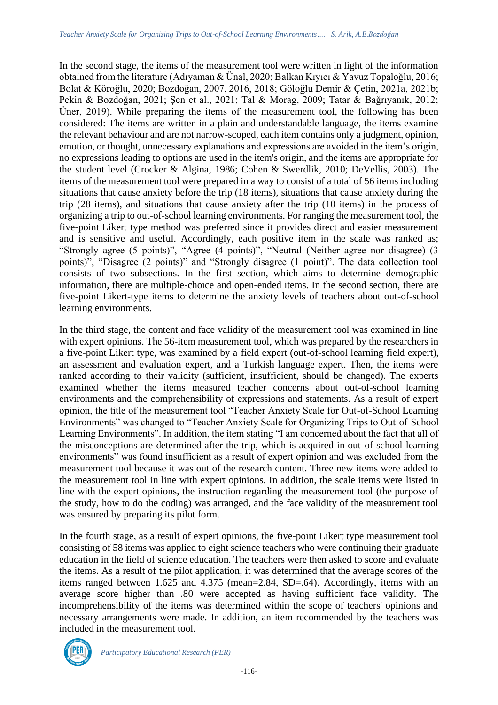In the second stage, the items of the measurement tool were written in light of the information obtained from the literature (Adıyaman & Ünal, 2020; Balkan Kıyıcı & Yavuz Topaloğlu, 2016; Bolat & Köroğlu, 2020; Bozdoğan, 2007, 2016, 2018; Göloğlu Demir & Çetin, 2021a, 2021b; Pekin & Bozdoğan, 2021; Şen et al., 2021; Tal & Morag, 2009; Tatar & Bağrıyanık, 2012; Üner, 2019). While preparing the items of the measurement tool, the following has been considered: The items are written in a plain and understandable language, the items examine the relevant behaviour and are not narrow-scoped, each item contains only a judgment, opinion, emotion, or thought, unnecessary explanations and expressions are avoided in the item's origin, no expressions leading to options are used in the item's origin, and the items are appropriate for the student level (Crocker & Algina, 1986; Cohen & Swerdlik, 2010; DeVellis, 2003). The items of the measurement tool were prepared in a way to consist of a total of 56 items including situations that cause anxiety before the trip (18 items), situations that cause anxiety during the trip (28 items), and situations that cause anxiety after the trip (10 items) in the process of organizing a trip to out-of-school learning environments. For ranging the measurement tool, the five-point Likert type method was preferred since it provides direct and easier measurement and is sensitive and useful. Accordingly, each positive item in the scale was ranked as; "Strongly agree (5 points)", "Agree (4 points)", "Neutral (Neither agree nor disagree) (3 points)", "Disagree (2 points)" and "Strongly disagree (1 point)". The data collection tool consists of two subsections. In the first section, which aims to determine demographic information, there are multiple-choice and open-ended items. In the second section, there are five-point Likert-type items to determine the anxiety levels of teachers about out-of-school learning environments.

In the third stage, the content and face validity of the measurement tool was examined in line with expert opinions. The 56-item measurement tool, which was prepared by the researchers in a five-point Likert type, was examined by a field expert (out-of-school learning field expert), an assessment and evaluation expert, and a Turkish language expert. Then, the items were ranked according to their validity (sufficient, insufficient, should be changed). The experts examined whether the items measured teacher concerns about out-of-school learning environments and the comprehensibility of expressions and statements. As a result of expert opinion, the title of the measurement tool "Teacher Anxiety Scale for Out-of-School Learning Environments" was changed to "Teacher Anxiety Scale for Organizing Trips to Out-of-School Learning Environments". In addition, the item stating "I am concerned about the fact that all of the misconceptions are determined after the trip, which is acquired in out-of-school learning environments" was found insufficient as a result of expert opinion and was excluded from the measurement tool because it was out of the research content. Three new items were added to the measurement tool in line with expert opinions. In addition, the scale items were listed in line with the expert opinions, the instruction regarding the measurement tool (the purpose of the study, how to do the coding) was arranged, and the face validity of the measurement tool was ensured by preparing its pilot form.

In the fourth stage, as a result of expert opinions, the five-point Likert type measurement tool consisting of 58 items was applied to eight science teachers who were continuing their graduate education in the field of science education. The teachers were then asked to score and evaluate the items. As a result of the pilot application, it was determined that the average scores of the items ranged between 1.625 and 4.375 (mean=2.84, SD=.64). Accordingly, items with an average score higher than .80 were accepted as having sufficient face validity. The incomprehensibility of the items was determined within the scope of teachers' opinions and necessary arrangements were made. In addition, an item recommended by the teachers was included in the measurement tool.

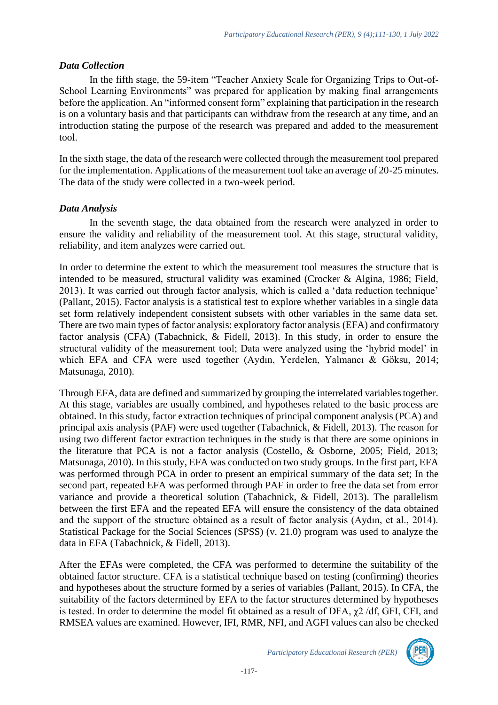# *Data Collection*

In the fifth stage, the 59-item "Teacher Anxiety Scale for Organizing Trips to Out-of-School Learning Environments" was prepared for application by making final arrangements before the application. An "informed consent form" explaining that participation in the research is on a voluntary basis and that participants can withdraw from the research at any time, and an introduction stating the purpose of the research was prepared and added to the measurement tool.

In the sixth stage, the data of the research were collected through the measurement tool prepared for the implementation. Applications of the measurement tool take an average of 20-25 minutes. The data of the study were collected in a two-week period.

# *Data Analysis*

In the seventh stage, the data obtained from the research were analyzed in order to ensure the validity and reliability of the measurement tool. At this stage, structural validity, reliability, and item analyzes were carried out.

In order to determine the extent to which the measurement tool measures the structure that is intended to be measured, structural validity was examined (Crocker & Algina, 1986; Field, 2013). It was carried out through factor analysis, which is called a 'data reduction technique' (Pallant, 2015). Factor analysis is a statistical test to explore whether variables in a single data set form relatively independent consistent subsets with other variables in the same data set. There are two main types of factor analysis: exploratory factor analysis (EFA) and confirmatory factor analysis (CFA) (Tabachnick, & Fidell, 2013). In this study, in order to ensure the structural validity of the measurement tool; Data were analyzed using the 'hybrid model' in which EFA and CFA were used together (Aydın, Yerdelen, Yalmancı & Göksu, 2014; Matsunaga, 2010).

Through EFA, data are defined and summarized by grouping the interrelated variables together. At this stage, variables are usually combined, and hypotheses related to the basic process are obtained. In this study, factor extraction techniques of principal component analysis (PCA) and principal axis analysis (PAF) were used together (Tabachnick, & Fidell, 2013). The reason for using two different factor extraction techniques in the study is that there are some opinions in the literature that PCA is not a factor analysis (Costello, & Osborne, 2005; Field, 2013; Matsunaga, 2010). In this study, EFA was conducted on two study groups. In the first part, EFA was performed through PCA in order to present an empirical summary of the data set; In the second part, repeated EFA was performed through PAF in order to free the data set from error variance and provide a theoretical solution (Tabachnick, & Fidell, 2013). The parallelism between the first EFA and the repeated EFA will ensure the consistency of the data obtained and the support of the structure obtained as a result of factor analysis (Aydın, et al., 2014). Statistical Package for the Social Sciences (SPSS) (v. 21.0) program was used to analyze the data in EFA (Tabachnick, & Fidell, 2013).

After the EFAs were completed, the CFA was performed to determine the suitability of the obtained factor structure. CFA is a statistical technique based on testing (confirming) theories and hypotheses about the structure formed by a series of variables (Pallant, 2015). In CFA, the suitability of the factors determined by EFA to the factor structures determined by hypotheses is tested. In order to determine the model fit obtained as a result of DFA, χ2 /df, GFI, CFI, and RMSEA values are examined. However, IFI, RMR, NFI, and AGFI values can also be checked

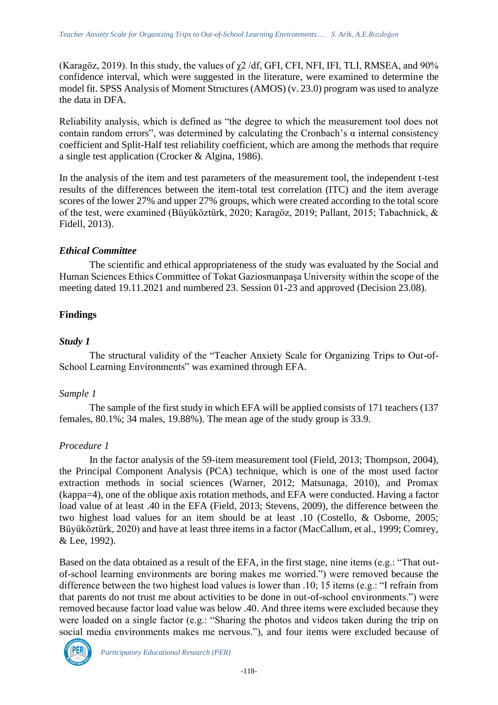(Karagöz, 2019). In this study, the values of  $\gamma$ 2/df, GFI, CFI, NFI, IFI, TLI, RMSEA, and 90% confidence interval, which were suggested in the literature, were examined to determine the model fit. SPSS Analysis of Moment Structures (AMOS) (v. 23.0) program was used to analyze the data in DFA.

Reliability analysis, which is defined as "the degree to which the measurement tool does not contain random errors", was determined by calculating the Cronbach's  $\alpha$  internal consistency coefficient and Split-Half test reliability coefficient, which are among the methods that require a single test application (Crocker & Algina, 1986).

In the analysis of the item and test parameters of the measurement tool, the independent t-test results of the differences between the item-total test correlation (ITC) and the item average scores of the lower 27% and upper 27% groups, which were created according to the total score of the test, were examined (Büyüköztürk, 2020; Karagöz, 2019; Pallant, 2015; Tabachnick, & Fidell, 2013).

# *Ethical Committee*

The scientific and ethical appropriateness of the study was evaluated by the Social and Human Sciences Ethics Committee of Tokat Gaziosmanpaşa University within the scope of the meeting dated 19.11.2021 and numbered 23. Session 01-23 and approved (Decision 23.08).

# **Findings**

### *Study 1*

The structural validity of the "Teacher Anxiety Scale for Organizing Trips to Out-of-School Learning Environments" was examined through EFA.

# *Sample 1*

The sample of the first study in which EFA will be applied consists of 171 teachers (137 females, 80.1%; 34 males, 19.88%). The mean age of the study group is 33.9.

# *Procedure 1*

In the factor analysis of the 59-item measurement tool (Field, 2013; Thompson, 2004), the Principal Component Analysis (PCA) technique, which is one of the most used factor extraction methods in social sciences (Warner, 2012; Matsunaga, 2010), and Promax (kappa=4), one of the oblique axis rotation methods, and EFA were conducted. Having a factor load value of at least .40 in the EFA (Field, 2013; Stevens, 2009), the difference between the two highest load values for an item should be at least .10 (Costello, & Osborne, 2005; Büyüköztürk, 2020) and have at least three items in a factor (MacCallum, et al., 1999; Comrey, & Lee, 1992).

Based on the data obtained as a result of the EFA, in the first stage, nine items (e.g.: "That outof-school learning environments are boring makes me worried.") were removed because the difference between the two highest load values is lower than .10; 15 items (e.g.: "I refrain from that parents do not trust me about activities to be done in out-of-school environments.") were removed because factor load value was below .40. And three items were excluded because they were loaded on a single factor (e.g.: "Sharing the photos and videos taken during the trip on social media environments makes me nervous."), and four items were excluded because of

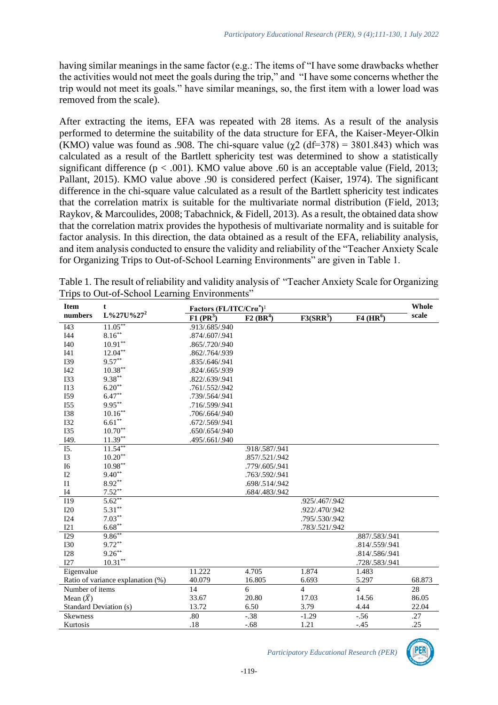having similar meanings in the same factor (e.g.: The items of "I have some drawbacks whether the activities would not meet the goals during the trip," and "I have some concerns whether the trip would not meet its goals." have similar meanings, so, the first item with a lower load was removed from the scale).

After extracting the items, EFA was repeated with 28 items. As a result of the analysis performed to determine the suitability of the data structure for EFA, the Kaiser-Meyer-Olkin (KMO) value was found as .908. The chi-square value ( $\gamma$ 2 (df=378) = 3801.843) which was calculated as a result of the Bartlett sphericity test was determined to show a statistically significant difference ( $p < .001$ ). KMO value above .60 is an acceptable value (Field, 2013; Pallant, 2015). KMO value above .90 is considered perfect (Kaiser, 1974). The significant difference in the chi-square value calculated as a result of the Bartlett sphericity test indicates that the correlation matrix is suitable for the multivariate normal distribution (Field, 2013; Raykov, & Marcoulides, 2008; Tabachnick, & Fidell, 2013). As a result, the obtained data show that the correlation matrix provides the hypothesis of multivariate normality and is suitable for factor analysis. In this direction, the data obtained as a result of the EFA, reliability analysis, and item analysis conducted to ensure the validity and reliability of the "Teacher Anxiety Scale for Organizing Trips to Out-of-School Learning Environments" are given in Table 1.

| <b>Item</b>       | t                                 | Factors (FL/ITC/Cra <sup>*</sup> ) <sup>1</sup> |                         |                |                         |        |
|-------------------|-----------------------------------|-------------------------------------------------|-------------------------|----------------|-------------------------|--------|
| numbers           | $L\%27U\%27^2$                    | $F1$ (PR <sup>3</sup> )                         | $F2$ (BR <sup>4</sup> ) | $F3(SRR^5)$    | $F4$ (HR <sup>6</sup> ) | scale  |
| I43               | $11.05***$                        | .913/.685/.940                                  |                         |                |                         |        |
| I44               | $8.16***$                         | .874/.607/.941                                  |                         |                |                         |        |
| I40               | $10.91**$                         | .865/.720/.940                                  |                         |                |                         |        |
| I41               | $12.04***$                        | .862/.764/.939                                  |                         |                |                         |        |
| <b>I39</b>        | $9.57**$                          | .835/.646/.941                                  |                         |                |                         |        |
| <b>I42</b>        | $10.38***$                        | .824/.665/.939                                  |                         |                |                         |        |
| <b>I33</b>        | $9.38***$                         | .822/.639/.941                                  |                         |                |                         |        |
| I13               | $6.20**$                          | .761/.552/.942                                  |                         |                |                         |        |
| I59               | $6.47***$                         | .739/.564/.941                                  |                         |                |                         |        |
| I55               | $9.95***$                         | .716/.599/.941                                  |                         |                |                         |        |
| <b>I38</b>        | $10.16***$                        | .706/.664/.940                                  |                         |                |                         |        |
| <b>I32</b>        | $6.61***$                         | .672/.569/.941                                  |                         |                |                         |        |
| <b>I35</b>        | $10.70^{\ast\ast}$                | .650/.654/.940                                  |                         |                |                         |        |
| I49.              | $11.39***$                        | .495/.661/.940                                  |                         |                |                         |        |
| $\overline{15}$ . | $11.54**$                         |                                                 | .918/.587/.941          |                |                         |        |
| <b>I3</b>         | $10.20**$                         |                                                 | .857/.521/.942          |                |                         |        |
| I6                | $10.98**$                         |                                                 | .779/.605/.941          |                |                         |        |
| I2                | $9.40**$                          |                                                 | .763/.592/.941          |                |                         |        |
| I1                | $8.92**$                          |                                                 | .698/.514/.942          |                |                         |        |
| I4                | $7.52**$                          |                                                 | .684/.483/.942          |                |                         |        |
| I19               | $5.62**$                          |                                                 |                         | .925/.467/.942 |                         |        |
| <b>I20</b>        | $5.31***$                         |                                                 |                         | .922/.470/.942 |                         |        |
| <b>I24</b>        | $7.03***$                         |                                                 |                         | .795/.530/.942 |                         |        |
| I21               | $6.68***$                         |                                                 |                         | .783/.521/.942 |                         |        |
| I29               | $9.86***$                         |                                                 |                         |                | .887/.583/.941          |        |
| <b>I30</b>        | $9.72**$                          |                                                 |                         |                | .814/.559/.941          |        |
| <b>I28</b>        | $9.26***$                         |                                                 |                         |                | .814/.586/.941          |        |
| I27               | $10.31**$                         |                                                 |                         |                | .728/.583/.941          |        |
| Eigenvalue        |                                   | 11.222                                          | 4.705                   | 1.874          | 1.483                   |        |
|                   | Ratio of variance explanation (%) | 40.079                                          | 16.805                  | 6.693          | 5.297                   | 68.873 |
| Number of items   |                                   | 14                                              | 6                       | $\overline{4}$ | $\overline{4}$          | 28     |
| Mean $(\bar{X})$  |                                   | 33.67                                           | 20.80                   | 17.03          | 14.56                   | 86.05  |
|                   | Standard Deviation (s)            | 13.72                                           | 6.50                    | 3.79           | 4.44                    | 22.04  |
| <b>Skewness</b>   |                                   | .80                                             | $-.38$                  | $-1.29$        | $-0.56$                 | .27    |
| Kurtosis          |                                   | .18                                             | $-.68$                  | 1.21           | $-.45$                  | .25    |

Table 1. The result of reliability and validity analysis of "Teacher Anxiety Scale for Organizing Trips to Out-of-School Learning Environments"

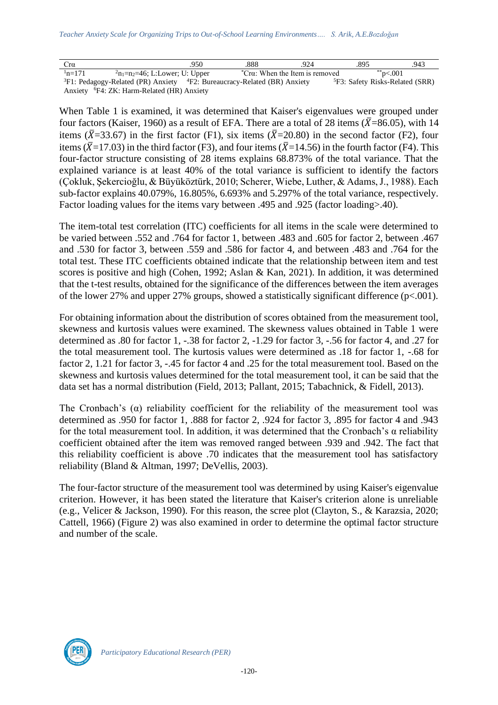| Cra                                                    |                                                                                          | .950 | .888 | .924                                 | .895                                        | .943 |  |  |
|--------------------------------------------------------|------------------------------------------------------------------------------------------|------|------|--------------------------------------|---------------------------------------------|------|--|--|
| $n=171$                                                | $n_1=n_2=46$ ; L:Lower; U: Upper                                                         |      |      | ${}^*Cra$ : When the Item is removed | **p<.001                                    |      |  |  |
|                                                        | ${}^{3}F1$ : Pedagogy-Related (PR) Anxiety ${}^{4}F2$ : Bureaucracy-Related (BR) Anxiety |      |      |                                      | <sup>5</sup> F3: Safety Risks-Related (SRR) |      |  |  |
| Anxiety <sup>6</sup> F4: ZK: Harm-Related (HR) Anxiety |                                                                                          |      |      |                                      |                                             |      |  |  |

When Table 1 is examined, it was determined that Kaiser's eigenvalues were grouped under four factors (Kaiser, 1960) as a result of EFA. There are a total of 28 items ( $\bar{X}$ =86.05), with 14 items ( $\bar{X}$ =33.67) in the first factor (F1), six items ( $\bar{X}$ =20.80) in the second factor (F2), four items ( $\bar{X}$ =17.03) in the third factor (F3), and four items ( $\bar{X}$ =14.56) in the fourth factor (F4). This four-factor structure consisting of 28 items explains 68.873% of the total variance. That the explained variance is at least 40% of the total variance is sufficient to identify the factors (Çokluk, Şekercioğlu, & Büyüköztürk, 2010; Scherer, Wiebe, Luther, & Adams, J., 1988). Each sub-factor explains 40.079%, 16.805%, 6.693% and 5.297% of the total variance, respectively. Factor loading values for the items vary between .495 and .925 (factor loading>.40).

The item-total test correlation (ITC) coefficients for all items in the scale were determined to be varied between .552 and .764 for factor 1, between .483 and .605 for factor 2, between .467 and .530 for factor 3, between .559 and .586 for factor 4, and between .483 and .764 for the total test. These ITC coefficients obtained indicate that the relationship between item and test scores is positive and high (Cohen, 1992; Aslan & Kan, 2021). In addition, it was determined that the t-test results, obtained for the significance of the differences between the item averages of the lower 27% and upper 27% groups, showed a statistically significant difference ( $p<.001$ ).

For obtaining information about the distribution of scores obtained from the measurement tool, skewness and kurtosis values were examined. The skewness values obtained in Table 1 were determined as .80 for factor 1, -.38 for factor 2, -1.29 for factor 3, -.56 for factor 4, and .27 for the total measurement tool. The kurtosis values were determined as .18 for factor 1, -.68 for factor 2, 1.21 for factor 3, -.45 for factor 4 and .25 for the total measurement tool. Based on the skewness and kurtosis values determined for the total measurement tool, it can be said that the data set has a normal distribution (Field, 2013; Pallant, 2015; Tabachnick, & Fidell, 2013).

The Cronbach's  $(\alpha)$  reliability coefficient for the reliability of the measurement tool was determined as .950 for factor 1, .888 for factor 2, .924 for factor 3, .895 for factor 4 and .943 for the total measurement tool. In addition, it was determined that the Cronbach's α reliability coefficient obtained after the item was removed ranged between .939 and .942. The fact that this reliability coefficient is above .70 indicates that the measurement tool has satisfactory reliability (Bland & Altman, 1997; DeVellis, 2003).

The four-factor structure of the measurement tool was determined by using Kaiser's eigenvalue criterion. However, it has been stated the literature that Kaiser's criterion alone is unreliable (e.g., Velicer & Jackson, 1990). For this reason, the scree plot (Clayton, S., & Karazsia, 2020; Cattell, 1966) (Figure 2) was also examined in order to determine the optimal factor structure and number of the scale.

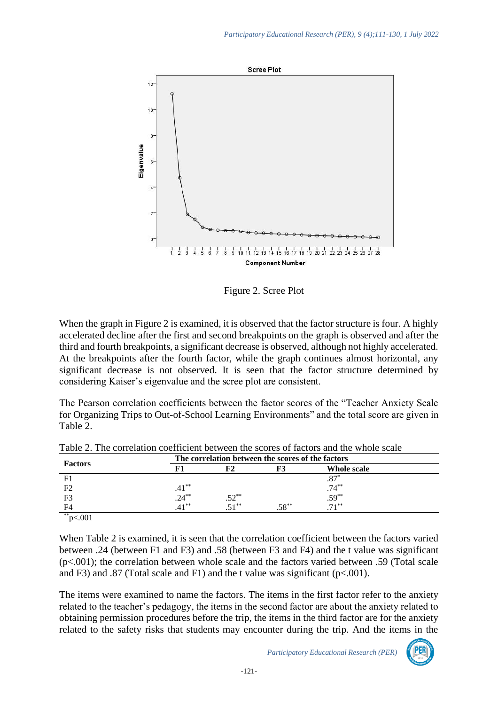

Figure 2. Scree Plot

When the graph in Figure 2 is examined, it is observed that the factor structure is four. A highly accelerated decline after the first and second breakpoints on the graph is observed and after the third and fourth breakpoints, a significant decrease is observed, although not highly accelerated. At the breakpoints after the fourth factor, while the graph continues almost horizontal, any significant decrease is not observed. It is seen that the factor structure determined by considering Kaiser's eigenvalue and the scree plot are consistent.

The Pearson correlation coefficients between the factor scores of the "Teacher Anxiety Scale for Organizing Trips to Out-of-School Learning Environments" and the total score are given in Table 2.

|                | The correlation between the scores of the factors |            |          |                          |  |  |
|----------------|---------------------------------------------------|------------|----------|--------------------------|--|--|
| <b>Factors</b> |                                                   |            | F3       | Whole scale              |  |  |
| F <sub>1</sub> |                                                   |            |          | $.87*$                   |  |  |
| F <sub>2</sub> | $.41$ **<br>$.24$ **                              |            |          | $.74^{**}$<br>$.59^{**}$ |  |  |
| F <sub>3</sub> |                                                   | $.52^{**}$ |          |                          |  |  |
| F4             | $41***$                                           |            | $.58***$ | $71***$                  |  |  |
| **             |                                                   |            |          |                          |  |  |

Table 2. The correlation coefficient between the scores of factors and the whole scale

When Table 2 is examined, it is seen that the correlation coefficient between the factors varied between .24 (between F1 and F3) and .58 (between F3 and F4) and the t value was significant  $(p<.001)$ ; the correlation between whole scale and the factors varied between .59 (Total scale and F3) and .87 (Total scale and F1) and the t value was significant ( $p < .001$ ).

The items were examined to name the factors. The items in the first factor refer to the anxiety related to the teacher's pedagogy, the items in the second factor are about the anxiety related to obtaining permission procedures before the trip, the items in the third factor are for the anxiety related to the safety risks that students may encounter during the trip. And the items in the

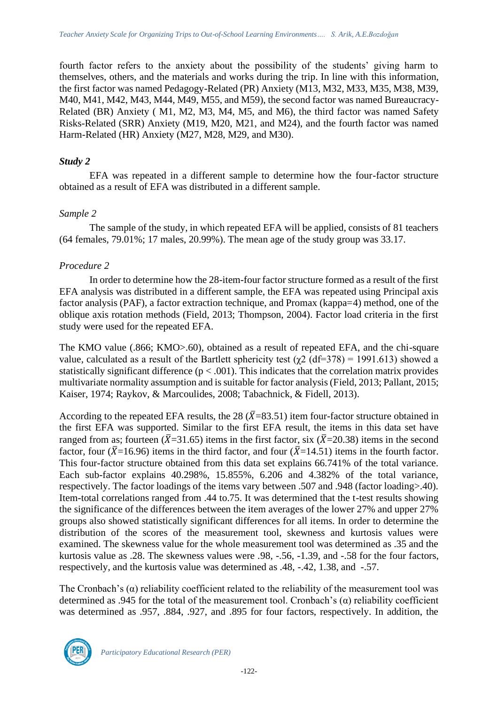fourth factor refers to the anxiety about the possibility of the students' giving harm to themselves, others, and the materials and works during the trip. In line with this information, the first factor was named Pedagogy-Related (PR) Anxiety (M13, M32, M33, M35, M38, M39, M40, M41, M42, M43, M44, M49, M55, and M59), the second factor was named Bureaucracy-Related (BR) Anxiety ( M1, M2, M3, M4, M5, and M6), the third factor was named Safety Risks-Related (SRR) Anxiety (M19, M20, M21, and M24), and the fourth factor was named Harm-Related (HR) Anxiety (M27, M28, M29, and M30).

#### *Study 2*

EFA was repeated in a different sample to determine how the four-factor structure obtained as a result of EFA was distributed in a different sample.

#### *Sample 2*

The sample of the study, in which repeated EFA will be applied, consists of 81 teachers (64 females, 79.01%; 17 males, 20.99%). The mean age of the study group was 33.17.

#### *Procedure 2*

In order to determine how the 28-item-four factor structure formed as a result of the first EFA analysis was distributed in a different sample, the EFA was repeated using Principal axis factor analysis (PAF), a factor extraction technique, and Promax (kappa=4) method, one of the oblique axis rotation methods (Field, 2013; Thompson, 2004). Factor load criteria in the first study were used for the repeated EFA.

The KMO value (.866; KMO>.60), obtained as a result of repeated EFA, and the chi-square value, calculated as a result of the Bartlett sphericity test ( $\gamma$ 2 (df=378) = 1991.613) showed a statistically significant difference  $(p < .001)$ . This indicates that the correlation matrix provides multivariate normality assumption and is suitable for factor analysis (Field, 2013; Pallant, 2015; Kaiser, 1974; Raykov, & Marcoulides, 2008; Tabachnick, & Fidell, 2013).

According to the repeated EFA results, the 28 ( $\bar{X}$ =83.51) item four-factor structure obtained in the first EFA was supported. Similar to the first EFA result, the items in this data set have ranged from as; fourteen ( $\bar{X}$ =31.65) items in the first factor, six ( $\bar{X}$ =20.38) items in the second factor, four ( $\bar{X}$ =16.96) items in the third factor, and four ( $\bar{X}$ =14.51) items in the fourth factor. This four-factor structure obtained from this data set explains 66.741% of the total variance. Each sub-factor explains 40.298%, 15.855%, 6.206 and 4.382% of the total variance, respectively. The factor loadings of the items vary between .507 and .948 (factor loading>.40). Item-total correlations ranged from .44 to.75. It was determined that the t-test results showing the significance of the differences between the item averages of the lower 27% and upper 27% groups also showed statistically significant differences for all items. In order to determine the distribution of the scores of the measurement tool, skewness and kurtosis values were examined. The skewness value for the whole measurement tool was determined as .35 and the kurtosis value as .28. The skewness values were .98, -.56, -1.39, and -.58 for the four factors, respectively, and the kurtosis value was determined as .48, -.42, 1.38, and -.57.

The Cronbach's  $(\alpha)$  reliability coefficient related to the reliability of the measurement tool was determined as .945 for the total of the measurement tool. Cronbach's  $(\alpha)$  reliability coefficient was determined as .957, .884, .927, and .895 for four factors, respectively. In addition, the

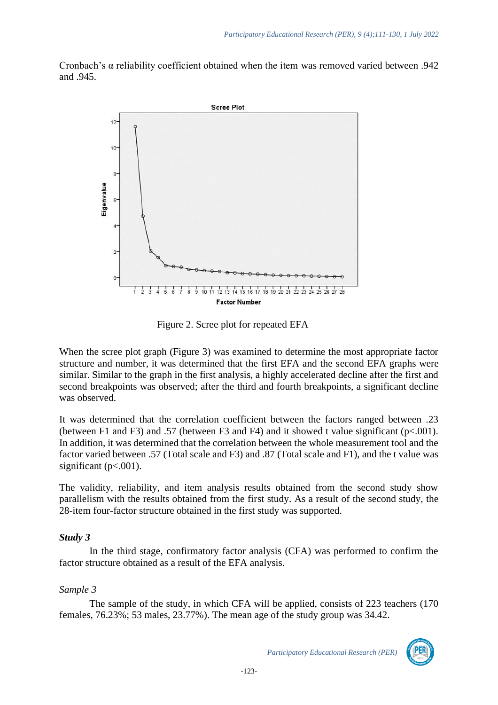Cronbach's α reliability coefficient obtained when the item was removed varied between .942 and .945.



Figure 2. Scree plot for repeated EFA

When the scree plot graph (Figure 3) was examined to determine the most appropriate factor structure and number, it was determined that the first EFA and the second EFA graphs were similar. Similar to the graph in the first analysis, a highly accelerated decline after the first and second breakpoints was observed; after the third and fourth breakpoints, a significant decline was observed.

It was determined that the correlation coefficient between the factors ranged between .23 (between F1 and F3) and .57 (between F3 and F4) and it showed t value significant ( $p<.001$ ). In addition, it was determined that the correlation between the whole measurement tool and the factor varied between .57 (Total scale and F3) and .87 (Total scale and F1), and the t value was significant ( $p<.001$ ).

The validity, reliability, and item analysis results obtained from the second study show parallelism with the results obtained from the first study. As a result of the second study, the 28-item four-factor structure obtained in the first study was supported.

# *Study 3*

In the third stage, confirmatory factor analysis (CFA) was performed to confirm the factor structure obtained as a result of the EFA analysis.

# *Sample 3*

The sample of the study, in which CFA will be applied, consists of 223 teachers (170 females, 76.23%; 53 males, 23.77%). The mean age of the study group was 34.42.

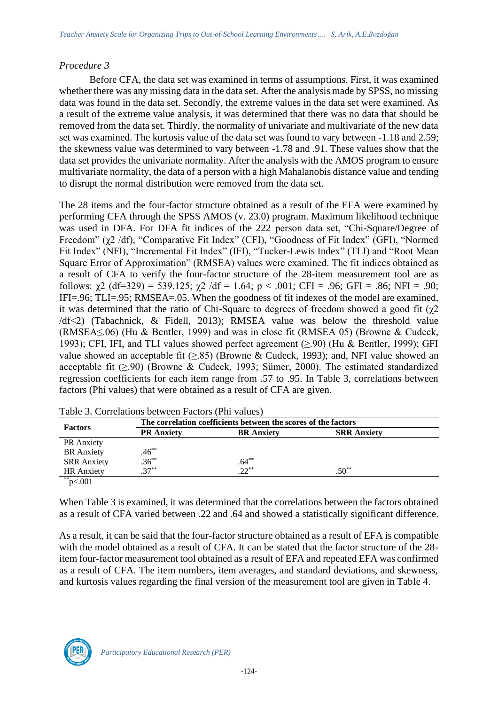#### *Procedure 3*

Before CFA, the data set was examined in terms of assumptions. First, it was examined whether there was any missing data in the data set. After the analysis made by SPSS, no missing data was found in the data set. Secondly, the extreme values in the data set were examined. As a result of the extreme value analysis, it was determined that there was no data that should be removed from the data set. Thirdly, the normality of univariate and multivariate of the new data set was examined. The kurtosis value of the data set was found to vary between -1.18 and 2.59; the skewness value was determined to vary between -1.78 and .91. These values show that the data set provides the univariate normality. After the analysis with the AMOS program to ensure multivariate normality, the data of a person with a high Mahalanobis distance value and tending to disrupt the normal distribution were removed from the data set.

The 28 items and the four-factor structure obtained as a result of the EFA were examined by performing CFA through the SPSS AMOS (v. 23.0) program. Maximum likelihood technique was used in DFA. For DFA fit indices of the 222 person data set, "Chi-Square/Degree of Freedom" (χ2 /df), "Comparative Fit Index" (CFI), "Goodness of Fit Index" (GFI), "Normed Fit Index" (NFI), "Incremental Fit Index" (IFI), "Tucker-Lewis Index" (TLI) and "Root Mean Square Error of Approximation" (RMSEA) values were examined. The fit indices obtained as a result of CFA to verify the four-factor structure of the 28-item measurement tool are as follows:  $\chi^2$  (df=329) = 539.125;  $\chi^2$  /df = 1.64; p < .001; CFI = .96; GFI = .86; NFI = .90; IFI=.96; TLI=.95; RMSEA=.05. When the goodness of fit indexes of the model are examined, it was determined that the ratio of Chi-Square to degrees of freedom showed a good fit  $(\gamma 2)$ /df<2) (Tabachnick, & Fidell, 2013); RMSEA value was below the threshold value (RMSEA≤.06) (Hu & Bentler, 1999) and was in close fit (RMSEA 05) (Browne & Cudeck, 1993); CFI, IFI, and TLI values showed perfect agreement (≥.90) (Hu & Bentler, 1999); GFI value showed an acceptable fit  $(\geq .85)$  (Browne & Cudeck, 1993); and, NFI value showed an acceptable fit  $(\geq .90)$  (Browne & Cudeck, 1993; Sümer, 2000). The estimated standardized regression coefficients for each item range from .57 to .95. In Table 3, correlations between factors (Phi values) that were obtained as a result of CFA are given.

|                   | The correlation coefficients between the scores of the factors |  |  |  |  |  |  |
|-------------------|----------------------------------------------------------------|--|--|--|--|--|--|
| <b>BR</b> Anxiety | <b>SRR Anxiety</b>                                             |  |  |  |  |  |  |
|                   |                                                                |  |  |  |  |  |  |
|                   |                                                                |  |  |  |  |  |  |
| $.64***$          |                                                                |  |  |  |  |  |  |
| $22^{**}$         | $.50^{**}$                                                     |  |  |  |  |  |  |
|                   |                                                                |  |  |  |  |  |  |

| Table 3. Correlations between Factors (Phi values) |  |
|----------------------------------------------------|--|
|----------------------------------------------------|--|

When Table 3 is examined, it was determined that the correlations between the factors obtained as a result of CFA varied between .22 and .64 and showed a statistically significant difference.

As a result, it can be said that the four-factor structure obtained as a result of EFA is compatible with the model obtained as a result of CFA. It can be stated that the factor structure of the 28item four-factor measurement tool obtained as a result of EFA and repeated EFA was confirmed as a result of CFA. The item numbers, item averages, and standard deviations, and skewness, and kurtosis values regarding the final version of the measurement tool are given in Table 4.

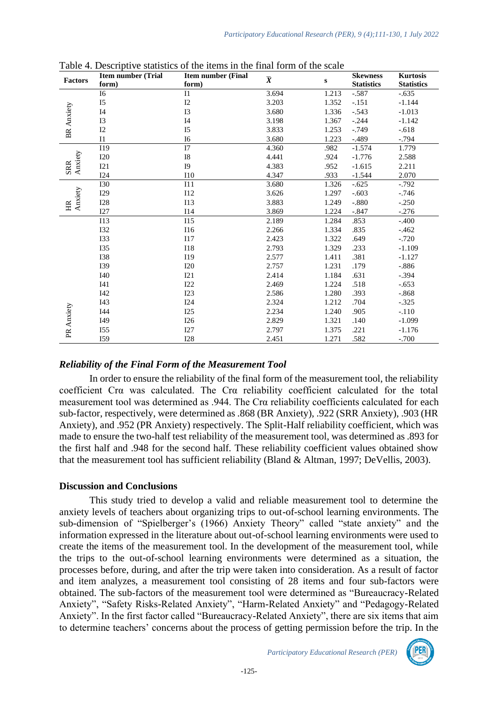| <b>Factors</b>        | <b>Item number (Trial</b> | <b>Item number (Final</b> | $\overline{\pmb{X}}$ | ${\bf S}$ | <b>Skewness</b><br><b>Statistics</b> | <b>Kurtosis</b>   |
|-----------------------|---------------------------|---------------------------|----------------------|-----------|--------------------------------------|-------------------|
|                       | form)                     | form)                     |                      |           |                                      | <b>Statistics</b> |
|                       | $I6$                      | I1                        | 3.694                | 1.213     | $-.587$                              | $-.635$           |
|                       | I5                        | I2                        | 3.203                | 1.352     | $-.151$                              | $-1.144$          |
|                       | I4                        | <b>I3</b>                 | 3.680                | 1.336     | $-.543$                              | $-1.013$          |
|                       | <b>I3</b>                 | I <sub>4</sub>            | 3.198                | 1.367     | $-.244$                              | $-1.142$          |
| <b>BR</b> Anxiety     | I2                        | I <sub>5</sub>            | 3.833                | 1.253     | $-0.749$                             | $-.618$           |
|                       | I1                        | I <sub>6</sub>            | 3.680                | 1.223     | $-.489$                              | $-0.794$          |
|                       | I19                       | I7                        | 4.360                | .982      | $-1.574$                             | 1.779             |
|                       | <b>I20</b>                | <b>I8</b>                 | 4.441                | .924      | $-1.776$                             | 2.588             |
| Anxiety<br><b>SRR</b> | I21                       | I <sub>9</sub>            | 4.383                | .952      | $-1.615$                             | 2.211             |
|                       | I24                       | I10                       | 4.347                | .933      | $-1.544$                             | 2.070             |
|                       | <b>I30</b>                | I11                       | 3.680                | 1.326     | $-.625$                              | $-.792$           |
|                       | I29                       | I12                       | 3.626                | 1.297     | $-.603$                              | $-.746$           |
| Anxiety<br>H          | <b>I28</b>                | <b>I13</b>                | 3.883                | 1.249     | $-.880$                              | $-.250$           |
|                       | I27                       | I14                       | 3.869                | 1.224     | $-.847$                              | $-.276$           |
|                       | <b>I13</b>                | I15                       | 2.189                | 1.284     | .853                                 | $-.400$           |
|                       | <b>I32</b>                | <b>I16</b>                | 2.266                | 1.334     | .835                                 | $-.462$           |
|                       | <b>I33</b>                | 117                       | 2.423                | 1.322     | .649                                 | $-.720$           |
|                       | <b>I35</b>                | <b>I18</b>                | 2.793                | 1.329     | .233                                 | $-1.109$          |
|                       | <b>I38</b>                | I19                       | 2.577                | 1.411     | .381                                 | $-1.127$          |
|                       | <b>I39</b>                | I20                       | 2.757                | 1.231     | .179                                 | $-.886$           |
|                       | I40                       | 121                       | 2.414                | 1.184     | .631                                 | $-.394$           |
|                       | I41                       | I22                       | 2.469                | 1.224     | .518                                 | $-.653$           |
|                       | I42                       | I23                       | 2.586                | 1.280     | .393                                 | $-.868$           |
|                       | I43                       | I24                       | 2.324                | 1.212     | .704                                 | $-.325$           |
|                       | I44                       | I25                       | 2.234                | 1.240     | .905                                 | $-.110$           |
| PR Anxiety            | I49                       | I26                       | 2.829                | 1.321     | .140                                 | $-1.099$          |
|                       | I <sub>55</sub>           | I27                       | 2.797                | 1.375     | .221                                 | $-1.176$          |
|                       | I59                       | I28                       | 2.451                | 1.271     | .582                                 | $-.700$           |

Table 4. Descriptive statistics of the items in the final form of the scale

#### *Reliability of the Final Form of the Measurement Tool*

In order to ensure the reliability of the final form of the measurement tool, the reliability coefficient Crα was calculated. The Crα reliability coefficient calculated for the total measurement tool was determined as .944. The Crα reliability coefficients calculated for each sub-factor, respectively, were determined as .868 (BR Anxiety), .922 (SRR Anxiety), .903 (HR Anxiety), and .952 (PR Anxiety) respectively. The Split-Half reliability coefficient, which was made to ensure the two-half test reliability of the measurement tool, was determined as .893 for the first half and .948 for the second half. These reliability coefficient values obtained show that the measurement tool has sufficient reliability (Bland & Altman, 1997; DeVellis, 2003).

#### **Discussion and Conclusions**

This study tried to develop a valid and reliable measurement tool to determine the anxiety levels of teachers about organizing trips to out-of-school learning environments. The sub-dimension of "Spielberger's (1966) Anxiety Theory" called "state anxiety" and the information expressed in the literature about out-of-school learning environments were used to create the items of the measurement tool. In the development of the measurement tool, while the trips to the out-of-school learning environments were determined as a situation, the processes before, during, and after the trip were taken into consideration. As a result of factor and item analyzes, a measurement tool consisting of 28 items and four sub-factors were obtained. The sub-factors of the measurement tool were determined as "Bureaucracy-Related Anxiety", "Safety Risks-Related Anxiety", "Harm-Related Anxiety" and "Pedagogy-Related Anxiety". In the first factor called "Bureaucracy-Related Anxiety", there are six items that aim to determine teachers' concerns about the process of getting permission before the trip. In the

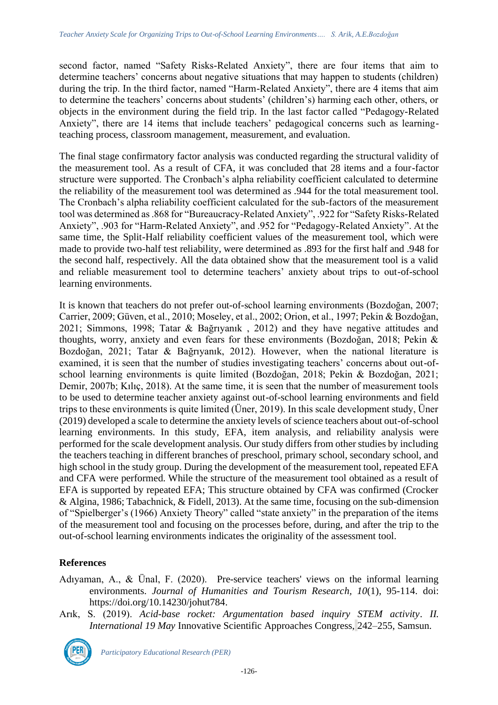second factor, named "Safety Risks-Related Anxiety", there are four items that aim to determine teachers' concerns about negative situations that may happen to students (children) during the trip. In the third factor, named "Harm-Related Anxiety", there are 4 items that aim to determine the teachers' concerns about students' (children's) harming each other, others, or objects in the environment during the field trip. In the last factor called "Pedagogy-Related Anxiety", there are 14 items that include teachers' pedagogical concerns such as learningteaching process, classroom management, measurement, and evaluation.

The final stage confirmatory factor analysis was conducted regarding the structural validity of the measurement tool. As a result of CFA, it was concluded that 28 items and a four-factor structure were supported. The Cronbach's alpha reliability coefficient calculated to determine the reliability of the measurement tool was determined as .944 for the total measurement tool. The Cronbach's alpha reliability coefficient calculated for the sub-factors of the measurement tool was determined as .868 for "Bureaucracy-Related Anxiety", .922 for "Safety Risks-Related Anxiety", .903 for "Harm-Related Anxiety", and .952 for "Pedagogy-Related Anxiety". At the same time, the Split-Half reliability coefficient values of the measurement tool, which were made to provide two-half test reliability, were determined as .893 for the first half and .948 for the second half, respectively. All the data obtained show that the measurement tool is a valid and reliable measurement tool to determine teachers' anxiety about trips to out-of-school learning environments.

It is known that teachers do not prefer out-of-school learning environments (Bozdoğan, 2007; Carrier, 2009; Güven, et al., 2010; Moseley, et al., 2002; Orion, et al., 1997; Pekin & Bozdoğan, 2021; Simmons, 1998; Tatar & Bağrıyanık , 2012) and they have negative attitudes and thoughts, worry, anxiety and even fears for these environments (Bozdoğan, 2018; Pekin & Bozdoğan, 2021; Tatar & Bağrıyanık, 2012). However, when the national literature is examined, it is seen that the number of studies investigating teachers' concerns about out-ofschool learning environments is quite limited (Bozdoğan, 2018; Pekin & Bozdoğan, 2021; Demir, 2007b; Kılıç, 2018). At the same time, it is seen that the number of measurement tools to be used to determine teacher anxiety against out-of-school learning environments and field trips to these environments is quite limited (Üner, 2019). In this scale development study, Üner (2019) developed a scale to determine the anxiety levels of science teachers about out-of-school learning environments. In this study, EFA, item analysis, and reliability analysis were performed for the scale development analysis. Our study differs from other studies by including the teachers teaching in different branches of preschool, primary school, secondary school, and high school in the study group. During the development of the measurement tool, repeated EFA and CFA were performed. While the structure of the measurement tool obtained as a result of EFA is supported by repeated EFA; This structure obtained by CFA was confirmed (Crocker & Algina, 1986; Tabachnick, & Fidell, 2013). At the same time, focusing on the sub-dimension of "Spielberger's (1966) Anxiety Theory" called "state anxiety" in the preparation of the items of the measurement tool and focusing on the processes before, during, and after the trip to the out-of-school learning environments indicates the originality of the assessment tool.

# **References**

- Adıyaman, A., & Ünal, F. (2020). Pre-service teachers' views on the informal learning environments. *Journal of Humanities and Tourism Research, 10*(1), 95-114. doi: [https://doi.org/10.14230/johut784.](https://doi.org/10.14230/johut784)
- Arık, S. (2019). *Acid-base rocket: Argumentation based inquiry STEM activity*. *II. International 19 May* Innovative Scientific Approaches Congress, 242–255, Samsun.

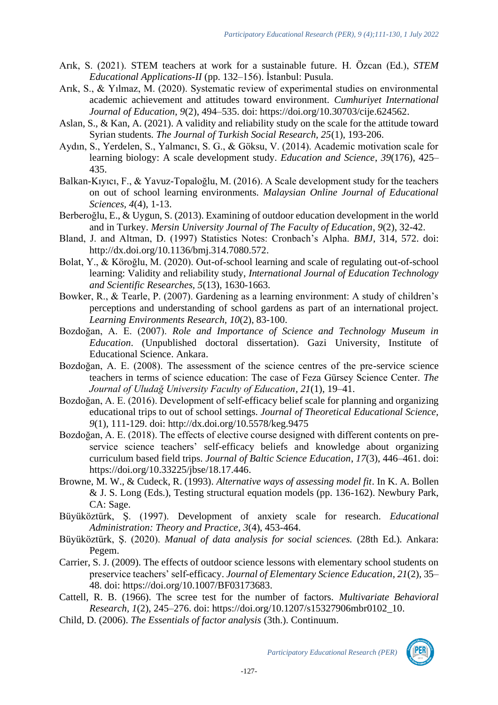- Arık, S. (2021). STEM teachers at work for a sustainable future. H. Özcan (Ed.), *STEM Educational Applications-II* (pp. 132–156). İstanbul: Pusula.
- Arık, S., & Yılmaz, M. (2020). Systematic review of experimental studies on environmental academic achievement and attitudes toward environment. *Cumhuriyet International Journal of Education*, *9*(2), 494–535. doi: [https://doi.org/10.30703/cije.624562.](https://doi.org/10.30703/cije.624562)
- Aslan, S., & Kan, A. (2021). A validity and reliability study on the scale for the attitude toward Syrian students. *The Journal of Turkish Social Research, 25*(1), 193-206.
- Aydın, S., Yerdelen, S., Yalmancı, S. G., & Göksu, V. (2014). Academic motivation scale for learning biology: A scale development study. *Education and Science*, *39*(176), 425– 435.
- Balkan-Kıyıcı, F., & Yavuz-Topaloğlu, M. (2016). A Scale development study for the teachers on out of school learning environments*. Malaysian Online Journal of Educational Sciences, 4*(4), 1-13.
- Berberoğlu, E., & Uygun, S. (2013). Examining of outdoor education development in the world and in Turkey. *Mersin University Journal of The Faculty of Education, 9*(2), 32-42.
- Bland, J. and Altman, D. (1997) Statistics Notes: Cronbach's Alpha. *BMJ,* 314, 572. doi: [http://dx.doi.org/10.1136/bmj.314.7080.572.](http://dx.doi.org/10.1136/bmj.314.7080.572)
- Bolat, Y., & Köroğlu, M. (2020). Out-of-school learning and scale of regulating out-of-school learning: Validity and reliability study, *International Journal of Education Technology and Scientific Researches, 5*(13), 1630-1663.
- Bowker, R., & Tearle, P. (2007). Gardening as a learning environment: A study of children's perceptions and understanding of school gardens as part of an international project. *Learning Environments Research, 10*(2), 83-100.
- Bozdoğan, A. E. (2007). *Role and Importance of Science and Technology Museum in Education*. (Unpublished doctoral dissertation). Gazi University, Institute of Educational Science. Ankara.
- Bozdoğan, A. E. (2008). The assessment of the science centres of the pre-service science teachers in terms of science education: The case of Feza Gürsey Science Center. *The Journal of Uludağ University Faculty of Education, 21*(1), 19–41.
- Bozdoğan, A. E. (2016). Development of self-efficacy belief scale for planning and organizing educational trips to out of school settings. *Journal of Theoretical Educational Science, 9*(1), 111-129. doi: <http://dx.doi.org/10.5578/keg.9475>
- Bozdoğan, A. E. (2018). The effects of elective course designed with different contents on preservice science teachers' self-efficacy beliefs and knowledge about organizing curriculum based field trips. *Journal of Baltic Science Education*, *17*(3), 446–461. doi: [https://doi.org/10.33225/jbse/18.17.446.](https://doi.org/10.33225/jbse/18.17.446)
- Browne, M. W., & Cudeck, R. (1993). *Alternative ways of assessing model fit*. In K. A. Bollen & J. S. Long (Eds.), Testing structural equation models (pp. 136-162). Newbury Park, CA: Sage.
- Büyüköztürk, Ş. (1997). Development of anxiety scale for research. *Educational Administration: Theory and Practice, 3*(4), 453-464.
- Büyüköztürk, Ş. (2020). *Manual of data analysis for social sciences.* (28th Ed.). Ankara: Pegem.
- Carrier, S. J. (2009). The effects of outdoor science lessons with elementary school students on preservice teachers' self-efficacy. *Journal of Elementary Science Education*, *21*(2), 35– 48. doi: [https://doi.org/10.1007/BF03173683.](https://doi.org/10.1007/BF03173683)
- Cattell, R. B. (1966). The scree test for the number of factors. *Multivariate Behavioral Research*, *1*(2), 245–276. doi: [https://doi.org/10.1207/s15327906mbr0102\\_10.](https://doi.org/10.1207/s15327906mbr0102_10)
- Child, D. (2006). *The Essentials of factor analysis* (3th.). Continuum.

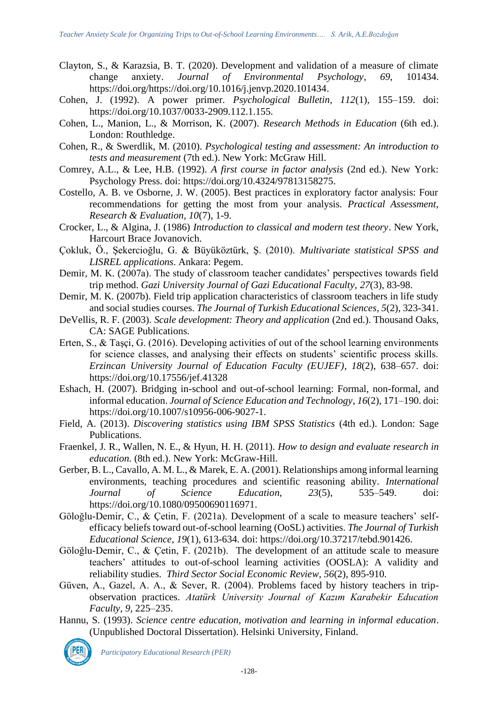- Clayton, S., & Karazsia, B. T. (2020). Development and validation of a measure of climate change anxiety. *Journal of Environmental Psychology*, *69*, 101434. [https://doi.org/https://doi.org/10.1016/j.jenvp.2020.101434.](https://doi.org/https:/doi.org/10.1016/j.jenvp.2020.101434)
- Cohen, J. (1992). A power primer. *Psychological Bulletin, 112*(1), 155–159. doi: [https://doi.org/10.1037/0033-2909.112.1.155.](https://doi.org/10.1037/0033-2909.112.1.155)
- Cohen, L., Manion, L., & Morrison, K. (2007). *Research Methods in Education* (6th ed.). London: Routhledge.
- Cohen, R., & Swerdlik, M. (2010). *Psychological testing and assessment: An introduction to tests and measurement* (7th ed.). New York: McGraw Hill.
- Comrey, A.L., & Lee, H.B. (1992). *A first course in factor analysis* (2nd ed.). New York: Psychology Press. doi: [https://doi.org/10.4324/97813158275.](https://doi.org/10.4324/97813158275)
- Costello, A. B. ve Osborne, J. W. (2005). Best practices in exploratory factor analysis: Four recommendations for getting the most from your analysis. *Practical Assessment, Research & Evaluation, 10*(7), 1-9.
- Crocker, L., & Algina, J. (1986) *Introduction to classical and modern test theory*. New York, Harcourt Brace Jovanovich.
- Çokluk, Ö., Şekercioğlu, G. & Büyüköztürk, Ş. (2010). *Multivariate statistical SPSS and LISREL applications*. Ankara: Pegem.
- Demir, M. K. (2007a). The study of classroom teacher candidates' perspectives towards field trip method. *Gazi University Journal of Gazi Educational Faculty, 27*(3), 83-98.
- Demir, M. K. (2007b). Field trip application characteristics of classroom teachers in life study and social studies courses. *The Journal of Turkish Educational Sciences, 5*(2), 323-341.
- DeVellis, R. F. (2003). *Scale development: Theory and application* (2nd ed.). Thousand Oaks, CA: SAGE Publications.
- Erten, S., & Taşçi, G. (2016). Developing activities of out of the school learning environments for science classes, and analysing their effects on students' scientific process skills. *Erzincan University Journal of Education Faculty (EUJEF)*, *18*(2), 638–657. doi: https://doi.org/10.17556/jef.41328
- Eshach, H. (2007). Bridging in-school and out-of-school learning: Formal, non-formal, and informal education. *Journal of Science Education and Technology*, *16*(2), 171–190. doi: [https://doi.org/10.1007/s10956-006-9027-1.](https://doi.org/10.1007/s10956-006-9027-1)
- Field, A. (2013). *Discovering statistics using IBM SPSS Statistics* (4th ed.). London: Sage Publications.
- Fraenkel, J. R., Wallen, N. E., & Hyun, H. H. (2011). *How to design and evaluate research in education.* (8th ed.). New York: McGraw-Hill.
- Gerber, B. L., Cavallo, A. M. L., & Marek, E. A. (2001). Relationships among informal learning environments, teaching procedures and scientific reasoning ability. *International Journal of Science Education*, *23*(5), 535–549. doi: [https://doi.org/10.1080/09500690116971.](https://doi.org/10.1080/09500690116971)
- Göloğlu-Demir, C., & Çetin, F. (2021a). Development of a scale to measure teachers' selfefficacy beliefs toward out-of-school learning (OoSL) activities. *The Journal of Turkish Educational Science*, *19*(1), 613-634. doi: [https://doi.org/10.37217/tebd.901426.](https://doi.org/10.37217/tebd.901426)
- Göloğlu-Demir, C., & Çetin, F. (2021b). The development of an attitude scale to measure teachers' attitudes to out-of-school learning activities (OOSLA): A validity and reliability studies. *Third Sector Social Economic Review, 56*(2), 895-910.
- Güven, A., Gazel, A. A., & Sever, R. (2004). Problems faced by history teachers in tripobservation practices. *Atatürk University Journal of Kazım Karabekir Education Faculty*, *9*, 225–235.
- Hannu, S. (1993). *Science centre education, motivation and learning in informal education*. (Unpublished Doctoral Dissertation). Helsinki University, Finland.

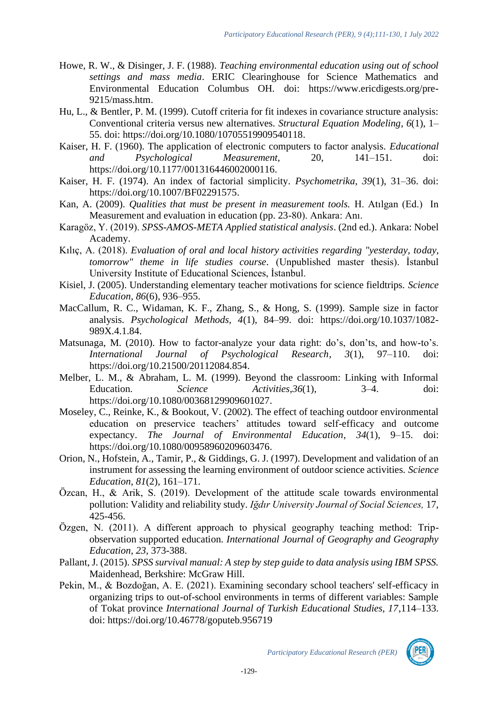- Howe, R. W., & Disinger, J. F. (1988). *Teaching environmental education using out of school settings and mass media*. ERIC Clearinghouse for Science Mathematics and Environmental Education Columbus OH. doi: [https://www.ericdigests.org/pre-](https://www.ericdigests.org/pre-9215/mass.htm)[9215/mass.htm.](https://www.ericdigests.org/pre-9215/mass.htm)
- Hu, L., & Bentler, P. M. (1999). Cutoff criteria for fit indexes in covariance structure analysis: Conventional criteria versus new alternatives. *Structural Equation Modeling*, *6*(1), 1– 55. doi: [https://doi.org/10.1080/10705519909540118.](https://doi.org/10.1080/10705519909540118)
- Kaiser, H. F. (1960). The application of electronic computers to factor analysis. *Educational and Psychological Measurement,* 20, 141–151. doi: [https://doi.org/10.1177/001316446002000116.](https://doi.org/10.1177/001316446002000116)
- Kaiser, H. F. (1974). An index of factorial simplicity. *Psychometrika, 39*(1), 31–36. doi: [https://doi.org/10.1007/BF02291575.](https://doi.org/10.1007/BF02291575)
- Kan, A. (2009). *Qualities that must be present in measurement tools.* H. Atılgan (Ed.) In Measurement and evaluation in education (pp. 23-80). Ankara: Anı.
- Karagöz, Y. (2019). *SPSS-AMOS-META Applied statistical analysis*. (2nd ed.). Ankara: Nobel Academy.
- Kılıç, A. (2018). *Evaluation of oral and local history activities regarding "yesterday, today, tomorrow" theme in life studies course.* (Unpublished master thesis). İstanbul University Institute of Educational Sciences, İstanbul.
- Kisiel, J. (2005). Understanding elementary teacher motivations for science fieldtrips. *Science Education, 86*(6), 936–955.
- MacCallum, R. C., Widaman, K. F., Zhang, S., & Hong, S. (1999). Sample size in factor analysis. *Psychological Methods, 4*(1), 84–99. doi: [https://doi.org/10.1037/1082-](https://doi.org/10.1037/1082-989X.4.1.84) [989X.4.1.84.](https://doi.org/10.1037/1082-989X.4.1.84)
- Matsunaga, M. (2010). How to factor-analyze your data right: do's, don'ts, and how-to's. *International Journal of Psychological Research*, *3*(1), 97–110. doi: [https://doi.org/10.21500/20112084.854.](https://doi.org/10.21500/20112084.854)
- Melber, L. M., & Abraham, L. M. (1999). Beyond the classroom: Linking with Informal Education. *Science Activities*,*36*(1), 3–4. doi: [https://doi.org/10.1080/00368129909601027.](https://doi.org/10.1080/00368129909601027)
- Moseley, C., Reinke, K., & Bookout, V. (2002). The effect of teaching outdoor environmental education on preservice teachers' attitudes toward self-efficacy and outcome expectancy. *The Journal of Environmental Education*, *34*(1), 9–15. doi: [https://doi.org/10.1080/00958960209603476.](https://doi.org/10.1080/00958960209603476)
- Orion, N., Hofstein, A., Tamir, P., & Giddings, G. J. (1997). Development and validation of an instrument for assessing the learning environment of outdoor science activities. *Science Education*, *81*(2), 161–171.
- Özcan, H., & Arik, S. (2019). Development of the attitude scale towards environmental pollution: Validity and reliability study. *Iğdır University Journal of Social Sciences,* 17, 425-456.
- Özgen, N. (2011). A different approach to physical geography teaching method: Tripobservation supported education. *International Journal of Geography and Geography Education, 23*, 373-388.
- Pallant, J. (2015). *SPSS survival manual: A step by step guide to data analysis using IBM SPSS.* Maidenhead, Berkshire: McGraw Hill.
- Pekin, M., & Bozdoğan, A. E. (2021). Examining secondary school teachers' self-efficacy in organizing trips to out-of-school environments in terms of different variables: Sample of Tokat province *International Journal of Turkish Educational Studies, 17*,114–133. doi: https://doi.org/10.46778/goputeb.956719